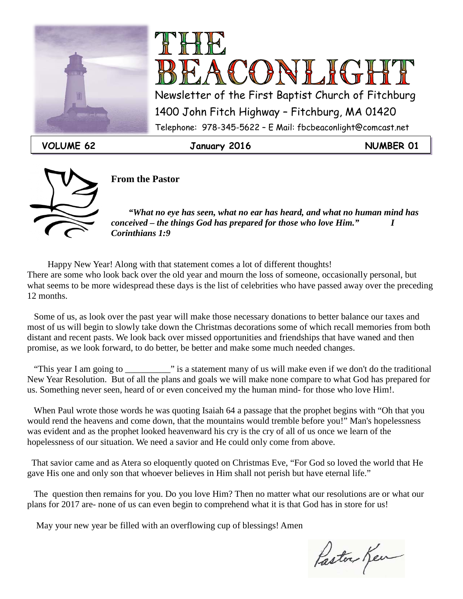



VOLUME 62 **January 2016** MUMBER 01



**From the Pastor**

 *"What no eye has seen, what no ear has heard, and what no human mind has conceived – the things God has prepared for those who love Him." I Corinthians 1:9*

 Happy New Year! Along with that statement comes a lot of different thoughts! There are some who look back over the old year and mourn the loss of someone, occasionally personal, but what seems to be more widespread these days is the list of celebrities who have passed away over the preceding 12 months.

 Some of us, as look over the past year will make those necessary donations to better balance our taxes and most of us will begin to slowly take down the Christmas decorations some of which recall memories from both distant and recent pasts. We look back over missed opportunities and friendships that have waned and then promise, as we look forward, to do better, be better and make some much needed changes.

"This year I am going to \_\_\_\_\_\_\_\_\_\_\_\_\_\_\_" is a statement many of us will make even if we don't do the traditional New Year Resolution. But of all the plans and goals we will make none compare to what God has prepared for us. Something never seen, heard of or even conceived my the human mind- for those who love Him!.

 When Paul wrote those words he was quoting Isaiah 64 a passage that the prophet begins with "Oh that you would rend the heavens and come down, that the mountains would tremble before you!" Man's hopelessness was evident and as the prophet looked heavenward his cry is the cry of all of us once we learn of the hopelessness of our situation. We need a savior and He could only come from above.

 That savior came and as Atera so eloquently quoted on Christmas Eve, "For God so loved the world that He gave His one and only son that whoever believes in Him shall not perish but have eternal life."

 The question then remains for you. Do you love Him? Then no matter what our resolutions are or what our plans for 2017 are- none of us can even begin to comprehend what it is that God has in store for us!

May your new year be filled with an overflowing cup of blessings! Amen

Paston Ken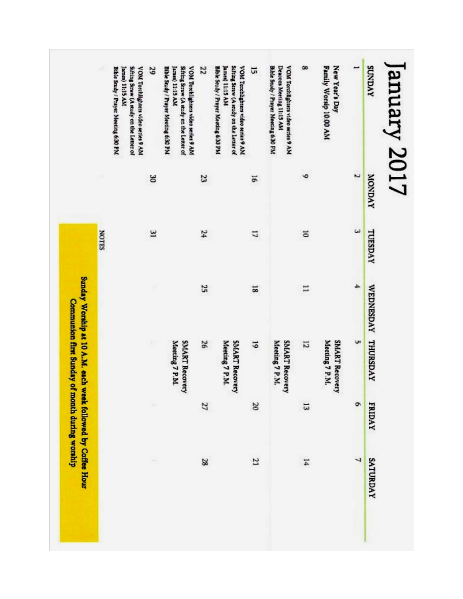| January 2017<br><b>SUNDAY</b>                                                                                                                   | <b>AVGNOW</b> | TUESDAY                 | VEDNESDAY THURSDAY |                                                             | <b>FRIDAY</b> | SATURDAY       |
|-------------------------------------------------------------------------------------------------------------------------------------------------|---------------|-------------------------|--------------------|-------------------------------------------------------------|---------------|----------------|
|                                                                                                                                                 | N             | $\omega$                | ÷                  | U1                                                          | ò             | 4              |
| New Year's Day<br>Family Worsip 10:00 AM                                                                                                        |               |                         |                    | <b>SMART Recovery</b><br>Meeting 7 P.M.                     |               |                |
|                                                                                                                                                 | G             | ă                       | E                  | 12                                                          | 53            | $\overline{1}$ |
| Bible Study / Prayer Mooning 6:30 PM<br>Deacons Meeting 11:15 AM<br>VOM Torchlighters video series 9 AM                                         |               |                         |                    | Meeting 7 P.M.<br><b>SMART Recovery</b>                     |               |                |
| 51                                                                                                                                              | 51            | 1                       | 50                 | 5                                                           | $\approx$     | 21             |
| Bible Study / Prayer Meeting 6:30 PM<br>Sifting Straw (A study on the Letter of<br><b>VOM Terchighters video series 9 AM</b><br>James) 11:15 AM |               |                         |                    | Meeting 7 P.M.<br>SMART Recovery                            |               |                |
| 22                                                                                                                                              | 23            | 24                      | 25                 | 26                                                          | 27            | 28             |
| Sifting Straw (A study on the Letter of<br>Bible Study / Prayer Meeting 6:30 PM<br>VOM Torchlighters video series 9 AM<br>James) 11:15 AM       |               |                         |                    | Meeting 7 P.M.<br><b>SMART Recovery</b>                     |               |                |
| 29                                                                                                                                              | S             | $\overline{\mathbf{3}}$ |                    |                                                             |               |                |
| Bible Study / Prayer Meeting 6:30 PM<br>Sifting Straw (A study on the Letter of<br>VOM Torchilghtes video series 9 AM<br>James) 11:15 AM        |               |                         |                    |                                                             |               |                |
|                                                                                                                                                 |               | SHLON                   |                    |                                                             |               |                |
|                                                                                                                                                 |               |                         |                    | Sunday Worship at 10 A.M. each week followed by Coffee Hour |               |                |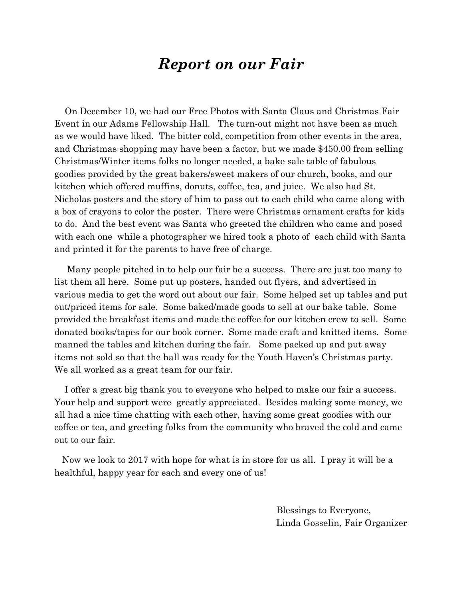### *Report on our Fair*

On December 10, we had our Free Photos with Santa Claus and Christmas Fair Event in our Adams Fellowship Hall. The turn-out might not have been as much as we would have liked. The bitter cold, competition from other events in the area, and Christmas shopping may have been a factor, but we made \$450.00 from selling Christmas/Winter items folks no longer needed, a bake sale table of fabulous goodies provided by the great bakers/sweet makers of our church, books, and our kitchen which offered muffins, donuts, coffee, tea, and juice. We also had St. Nicholas posters and the story of him to pass out to each child who came along with a box of crayons to color the poster. There were Christmas ornament crafts for kids to do. And the best event was Santa who greeted the children who came and posed with each one while a photographer we hired took a photo of each child with Santa and printed it for the parents to have free of charge.

 Many people pitched in to help our fair be a success. There are just too many to list them all here. Some put up posters, handed out flyers, and advertised in various media to get the word out about our fair. Some helped set up tables and put out/priced items for sale. Some baked/made goods to sell at our bake table. Some provided the breakfast items and made the coffee for our kitchen crew to sell. Some donated books/tapes for our book corner. Some made craft and knitted items. Some manned the tables and kitchen during the fair. Some packed up and put away items not sold so that the hall was ready for the Youth Haven's Christmas party. We all worked as a great team for our fair.

 I offer a great big thank you to everyone who helped to make our fair a success. Your help and support were greatly appreciated. Besides making some money, we all had a nice time chatting with each other, having some great goodies with our coffee or tea, and greeting folks from the community who braved the cold and came out to our fair.

 Now we look to 2017 with hope for what is in store for us all. I pray it will be a healthful, happy year for each and every one of us!

> Blessings to Everyone, Linda Gosselin, Fair Organizer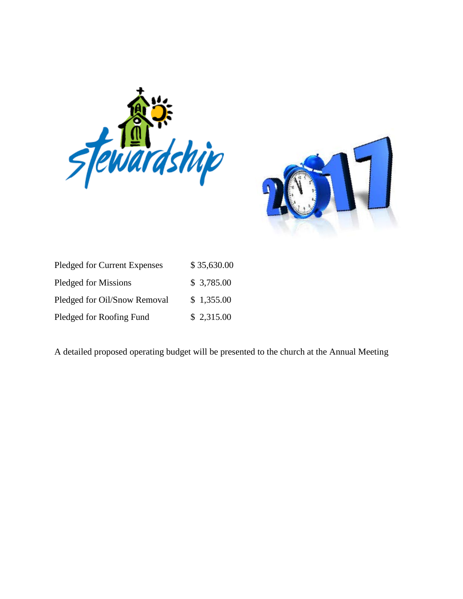



| Pledged for Current Expenses | \$35,630.00 |
|------------------------------|-------------|
| <b>Pledged for Missions</b>  | \$3,785.00  |
| Pledged for Oil/Snow Removal | \$1,355.00  |
| Pledged for Roofing Fund     | \$2,315.00  |

A detailed proposed operating budget will be presented to the church at the Annual Meeting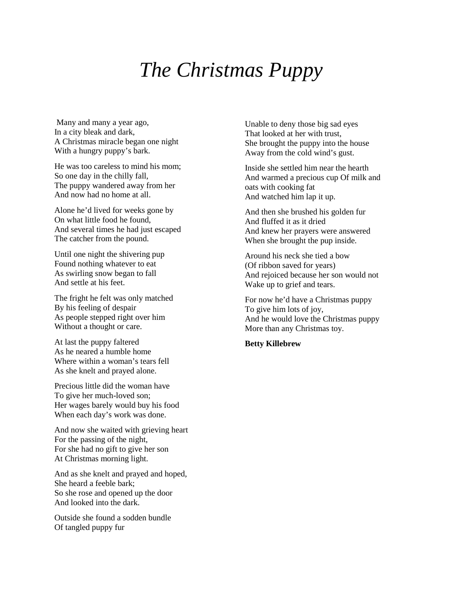#### With two big eyes with glistening tears The Christmas Puppy

Many and many a year ago, In a city bleak and dark, A Christmas miracle began one night With a hungry puppy's bark.

He was too careless to mind his mom; So one day in the chilly fall, The puppy wandered away from her And now had no home at all.

Alone he'd lived for weeks gone by On what little food he found, And several times he had just escaped The catcher from the pound.

Until one night the shivering pup Found nothing whatever to eat As swirling snow began to fall And settle at his feet.

The fright he felt was only matched By his feeling of despair As people stepped right over him Without a thought or care.

At last the puppy faltered As he neared a humble home Where within a woman's tears fell As she knelt and prayed alone.

Precious little did the woman have To give her much-loved son; Her wages barely would buy his food When each day's work was done.

And now she waited with grieving heart For the passing of the night, For she had no gift to give her son At Christmas morning light.

And as she knelt and prayed and hoped, She heard a feeble bark; So she rose and opened up the door And looked into the dark.

Outside she found a sodden bundle Of tangled puppy fur

Unable to deny those big sad eyes That looked at her with trust, She brought the puppy into the house Away from the cold wind's gust.

Inside she settled him near the hearth And warmed a precious cup Of milk and oats with cooking fat And watched him lap it up.

And then she brushed his golden fur And fluffed it as it dried And knew her prayers were answered When she brought the pup inside.

Around his neck she tied a bow (Of ribbon saved for years) And rejoiced because her son would not Wake up to grief and tears.

For now he'd have a Christmas puppy To give him lots of joy, And he would love the Christmas puppy More than any Christmas toy.

#### **Betty Killebrew**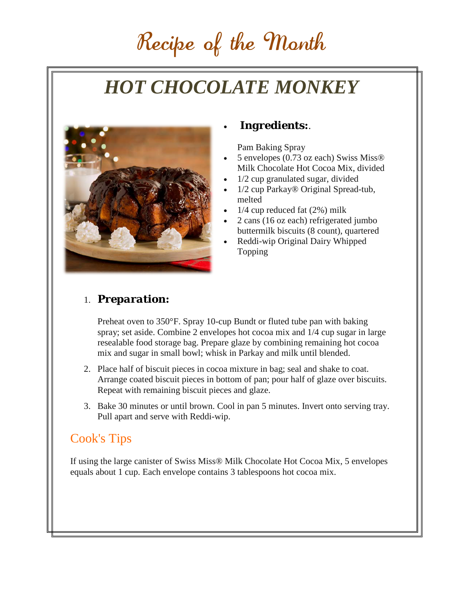# Recipe of the Month

# *HOT CHOCOLATE MONKEY*



#### • *Ingredients:*.

Pam Baking Spray

- 5 envelopes (0.73 oz each) Swiss Miss® Milk Chocolate Hot Cocoa Mix, divided
- $1/2$  cup granulated sugar, divided
- 1/2 cup Parkay® Original Spread-tub, melted
- $1/4$  cup reduced fat  $(2%)$  milk
- 2 cans (16 oz each) refrigerated jumbo buttermilk biscuits (8 count), quartered
- Reddi-wip Original Dairy Whipped Topping

#### 1. *Preparation:*

Preheat oven to 350°F. Spray 10-cup Bundt or fluted tube pan with baking spray; set aside. Combine 2 envelopes hot cocoa mix and 1/4 cup sugar in large resealable food storage bag. Prepare glaze by combining remaining hot cocoa mix and sugar in small bowl; whisk in Parkay and milk until blended.

- 2. Place half of biscuit pieces in cocoa mixture in bag; seal and shake to coat. Arrange coated biscuit pieces in bottom of pan; pour half of glaze over biscuits. Repeat with remaining biscuit pieces and glaze.
- 3. Bake 30 minutes or until brown. Cool in pan 5 minutes. Invert onto serving tray. Pull apart and serve with Reddi-wip.

#### Cook's Tips

If using the large canister of Swiss Miss® Milk Chocolate Hot Cocoa Mix, 5 envelopes equals about 1 cup. Each envelope contains 3 tablespoons hot cocoa mix.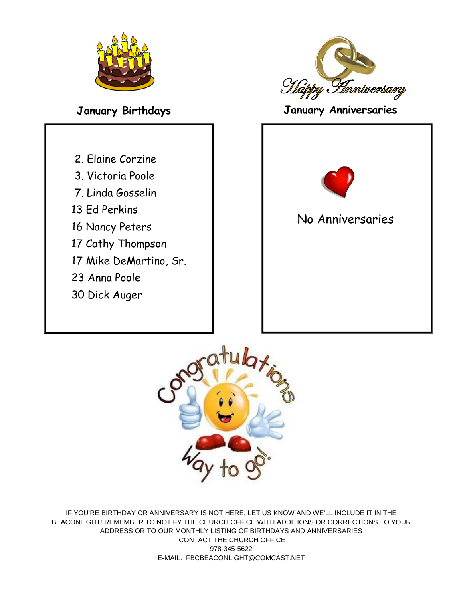

- 2. Elaine Corzine
- 3. Victoria Poole
- 7. Linda Gosselin
- 13 Ed Perkins
- 16 Nancy Peters
- 17 Cathy Thompson
- 17 Mike DeMartino, Sr.
- 23 Anna Poole
- 30 Dick Auger



### **January Birthdays January Anniversaries**





IF YOU'RE BIRTHDAY OR ANNIVERSARY IS NOT HERE, LET US KNOW AND WE'LL INCLUDE IT IN THE BEACONLIGHT! REMEMBER TO NOTIFY THE CHURCH OFFICE WITH ADDITIONS OR CORRECTIONS TO YOUR ADDRESS OR TO OUR MONTHLY LISTING OF BIRTHDAYS AND ANNIVERSARIES CONTACT THE CHURCH OFFICE 978-345-5622 E-MAIL: FBCBEACONLIGHT@COMCAST.NET